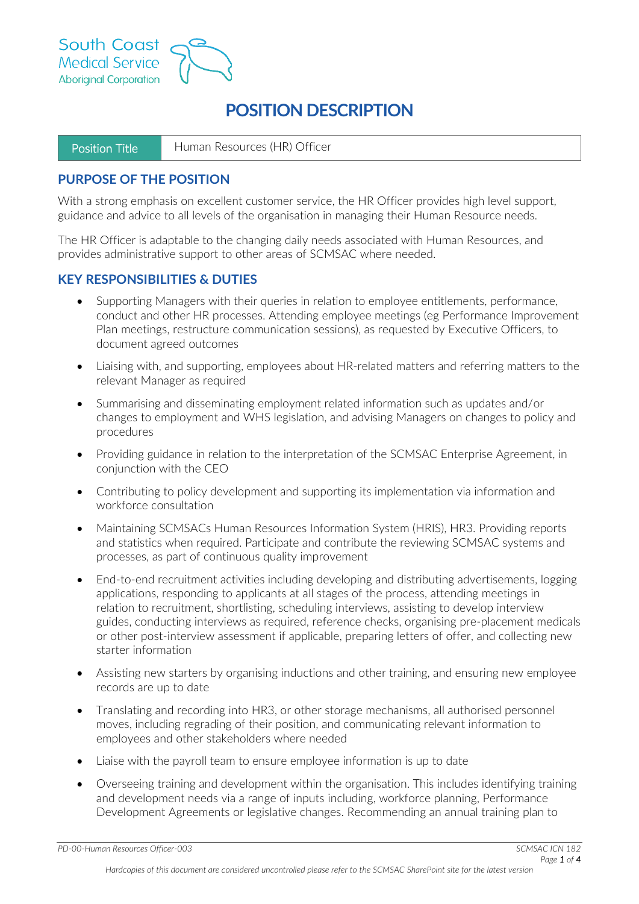

# **POSITION DESCRIPTION**

| <b>Position Title</b> | Human Resources (HR) Officer |
|-----------------------|------------------------------|
|-----------------------|------------------------------|

# **PURPOSE OF THE POSITION**

With a strong emphasis on excellent customer service, the HR Officer provides high level support, guidance and advice to all levels of the organisation in managing their Human Resource needs.

The HR Officer is adaptable to the changing daily needs associated with Human Resources, and provides administrative support to other areas of SCMSAC where needed.

# **KEY RESPONSIBILITIES & DUTIES**

- Supporting Managers with their queries in relation to employee entitlements, performance, conduct and other HR processes. Attending employee meetings (eg Performance Improvement Plan meetings, restructure communication sessions), as requested by Executive Officers, to document agreed outcomes
- Liaising with, and supporting, employees about HR-related matters and referring matters to the relevant Manager as required
- Summarising and disseminating employment related information such as updates and/or changes to employment and WHS legislation, and advising Managers on changes to policy and procedures
- Providing guidance in relation to the interpretation of the SCMSAC Enterprise Agreement, in conjunction with the CEO
- Contributing to policy development and supporting its implementation via information and workforce consultation
- Maintaining SCMSACs Human Resources Information System (HRIS), HR3. Providing reports and statistics when required. Participate and contribute the reviewing SCMSAC systems and processes, as part of continuous quality improvement
- End-to-end recruitment activities including developing and distributing advertisements, logging applications, responding to applicants at all stages of the process, attending meetings in relation to recruitment, shortlisting, scheduling interviews, assisting to develop interview guides, conducting interviews as required, reference checks, organising pre-placement medicals or other post-interview assessment if applicable, preparing letters of offer, and collecting new starter information
- Assisting new starters by organising inductions and other training, and ensuring new employee records are up to date
- Translating and recording into HR3, or other storage mechanisms, all authorised personnel moves, including regrading of their position, and communicating relevant information to employees and other stakeholders where needed
- Liaise with the payroll team to ensure employee information is up to date
- Overseeing training and development within the organisation. This includes identifying training and development needs via a range of inputs including, workforce planning, Performance Development Agreements or legislative changes. Recommending an annual training plan to

*PD-00-Human Resources Officer-003 SCMSAC ICN 182*

*Hardcopies of this document are considered uncontrolled please refer to the SCMSAC SharePoint site for the latest version*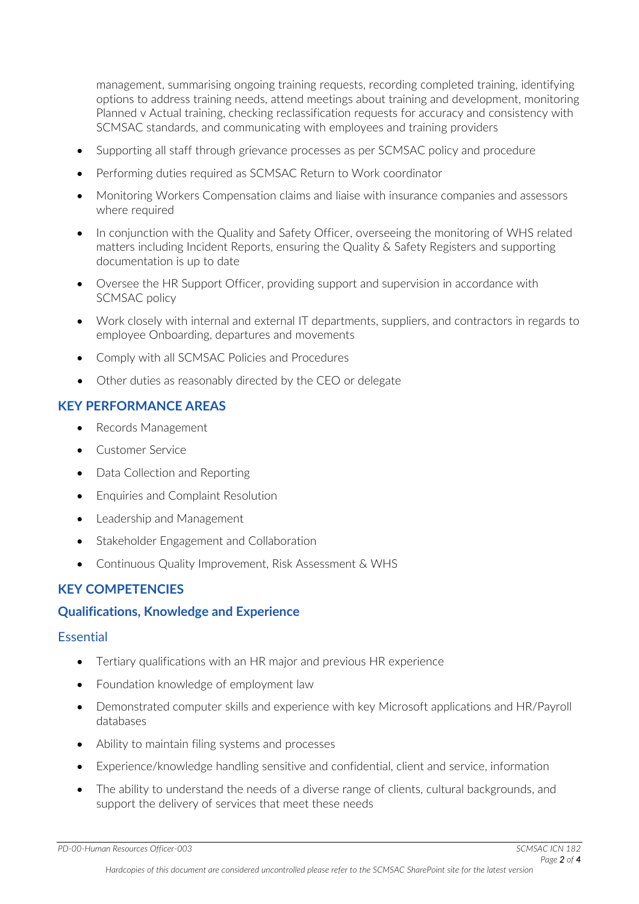management, summarising ongoing training requests, recording completed training, identifying options to address training needs, attend meetings about training and development, monitoring Planned v Actual training, checking reclassification requests for accuracy and consistency with SCMSAC standards, and communicating with employees and training providers

- Supporting all staff through grievance processes as per SCMSAC policy and procedure
- Performing duties required as SCMSAC Return to Work coordinator
- Monitoring Workers Compensation claims and liaise with insurance companies and assessors where required
- In conjunction with the Quality and Safety Officer, overseeing the monitoring of WHS related matters including Incident Reports, ensuring the Quality & Safety Registers and supporting documentation is up to date
- Oversee the HR Support Officer, providing support and supervision in accordance with SCMSAC policy
- Work closely with internal and external IT departments, suppliers, and contractors in regards to employee Onboarding, departures and movements
- Comply with all SCMSAC Policies and Procedures
- Other duties as reasonably directed by the CEO or delegate

# **KEY PERFORMANCE AREAS**

- Records Management
- Customer Service
- Data Collection and Reporting
- Enquiries and Complaint Resolution
- Leadership and Management
- Stakeholder Engagement and Collaboration
- Continuous Quality Improvement, Risk Assessment & WHS

# **KEY COMPETENCIES**

## **Qualifications, Knowledge and Experience**

#### **Essential**

- Tertiary qualifications with an HR major and previous HR experience
- Foundation knowledge of employment law
- Demonstrated computer skills and experience with key Microsoft applications and HR/Payroll databases
- Ability to maintain filing systems and processes
- Experience/knowledge handling sensitive and confidential, client and service, information
- The ability to understand the needs of a diverse range of clients, cultural backgrounds, and support the delivery of services that meet these needs

*PD-00-Human Resources Officer-003 SCMSAC ICN 182*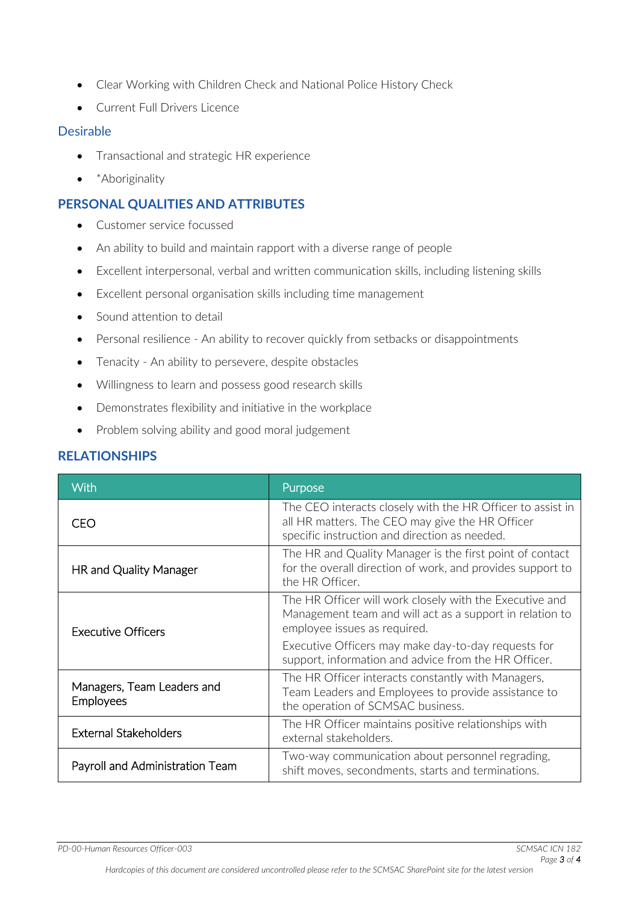- Clear Working with Children Check and National Police History Check
- Current Full Drivers Licence

## Desirable

- Transactional and strategic HR experience
- \*Aboriginality

# **PERSONAL QUALITIES AND ATTRIBUTES**

- Customer service focussed
- An ability to build and maintain rapport with a diverse range of people
- Excellent interpersonal, verbal and written communication skills, including listening skills
- Excellent personal organisation skills including time management
- Sound attention to detail
- Personal resilience An ability to recover quickly from setbacks or disappointments
- Tenacity An ability to persevere, despite obstacles
- Willingness to learn and possess good research skills
- Demonstrates flexibility and initiative in the workplace
- Problem solving ability and good moral judgement

# **RELATIONSHIPS**

| <b>With</b>                                    | Purpose                                                                                                                                                        |
|------------------------------------------------|----------------------------------------------------------------------------------------------------------------------------------------------------------------|
| CEO                                            | The CEO interacts closely with the HR Officer to assist in<br>all HR matters. The CEO may give the HR Officer<br>specific instruction and direction as needed. |
| HR and Quality Manager                         | The HR and Quality Manager is the first point of contact<br>for the overall direction of work, and provides support to<br>the HR Officer.                      |
| <b>Executive Officers</b>                      | The HR Officer will work closely with the Executive and<br>Management team and will act as a support in relation to<br>employee issues as required.            |
|                                                | Executive Officers may make day-to-day requests for<br>support, information and advice from the HR Officer.                                                    |
| Managers, Team Leaders and<br><b>Employees</b> | The HR Officer interacts constantly with Managers,<br>Team Leaders and Employees to provide assistance to<br>the operation of SCMSAC business.                 |
| <b>External Stakeholders</b>                   | The HR Officer maintains positive relationships with<br>external stakeholders.                                                                                 |
| Payroll and Administration Team                | Two-way communication about personnel regrading,<br>shift moves, secondments, starts and terminations.                                                         |

*PD-00-Human Resources Officer-003 SCMSAC ICN 182*